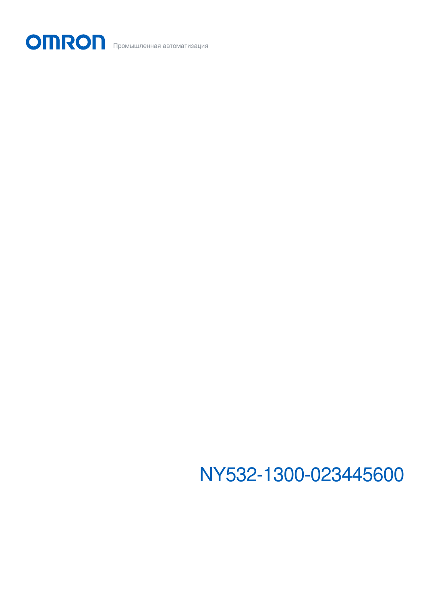NY532-1300-023445600

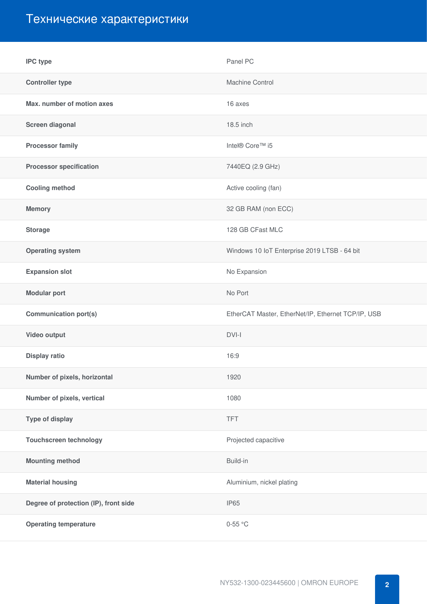# Технические характеристики

| <b>IPC</b> type                       | Panel PC                                           |
|---------------------------------------|----------------------------------------------------|
| <b>Controller type</b>                | Machine Control                                    |
| Max. number of motion axes            | 16 axes                                            |
| Screen diagonal                       | 18.5 inch                                          |
| <b>Processor family</b>               | Intel® Core™ i5                                    |
| <b>Processor specification</b>        | 7440EQ (2.9 GHz)                                   |
| <b>Cooling method</b>                 | Active cooling (fan)                               |
| <b>Memory</b>                         | 32 GB RAM (non ECC)                                |
| <b>Storage</b>                        | 128 GB CFast MLC                                   |
| <b>Operating system</b>               | Windows 10 IoT Enterprise 2019 LTSB - 64 bit       |
| <b>Expansion slot</b>                 | No Expansion                                       |
| <b>Modular port</b>                   | No Port                                            |
| <b>Communication port(s)</b>          | EtherCAT Master, EtherNet/IP, Ethernet TCP/IP, USB |
| Video output                          | $DVI-I$                                            |
| <b>Display ratio</b>                  | 16:9                                               |
| Number of pixels, horizontal          | 1920                                               |
| Number of pixels, vertical            | 1080                                               |
| Type of display                       | <b>TFT</b>                                         |
| <b>Touchscreen technology</b>         | Projected capacitive                               |
| <b>Mounting method</b>                | Build-in                                           |
| <b>Material housing</b>               | Aluminium, nickel plating                          |
| Degree of protection (IP), front side | <b>IP65</b>                                        |
| <b>Operating temperature</b>          | $0-55$ °C                                          |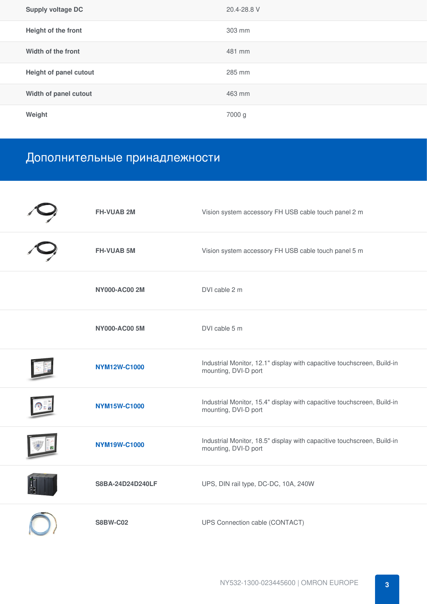| <b>Supply voltage DC</b> | 20.4-28.8 V |
|--------------------------|-------------|
| Height of the front      | 303 mm      |
| Width of the front       | 481 mm      |
| Height of panel cutout   | 285 mm      |
| Width of panel cutout    | 463 mm      |
| Weight                   | 7000 g      |

## Дополнительные принадлежности

| <b>FH-VUAB 2M</b>    | Vision system accessory FH USB cable touch panel 2 m                                            |
|----------------------|-------------------------------------------------------------------------------------------------|
| <b>FH-VUAB 5M</b>    | Vision system accessory FH USB cable touch panel 5 m                                            |
| <b>NY000-AC00 2M</b> | DVI cable 2 m                                                                                   |
| <b>NY000-AC00 5M</b> | DVI cable 5 m                                                                                   |
| <b>NYM12W-C1000</b>  | Industrial Monitor, 12.1" display with capacitive touchscreen, Build-in<br>mounting, DVI-D port |
| <b>NYM15W-C1000</b>  | Industrial Monitor, 15.4" display with capacitive touchscreen, Build-in<br>mounting, DVI-D port |
| <b>NYM19W-C1000</b>  | Industrial Monitor, 18.5" display with capacitive touchscreen, Build-in<br>mounting, DVI-D port |
| S8BA-24D24D240LF     | UPS, DIN rail type, DC-DC, 10A, 240W                                                            |
| <b>S8BW-C02</b>      | UPS Connection cable (CONTACT)                                                                  |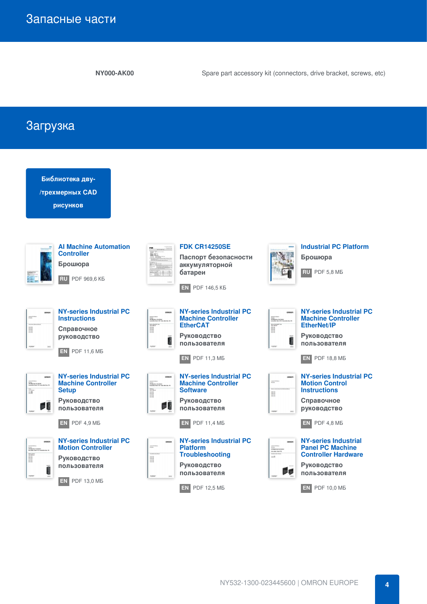**NY000-AK00** Spare part accessory kit (connectors, drive bracket, screws, etc)

Загрузка

| Библиотека дву-<br>/трехмерных CAD<br>рисунков                                                                                                                                                                  |                                                                                                                                                                                                                                                                                                                                                                                                                                                                                                                                                                                                                                                                                            |                                                                                                                                                                                                                                                   |
|-----------------------------------------------------------------------------------------------------------------------------------------------------------------------------------------------------------------|--------------------------------------------------------------------------------------------------------------------------------------------------------------------------------------------------------------------------------------------------------------------------------------------------------------------------------------------------------------------------------------------------------------------------------------------------------------------------------------------------------------------------------------------------------------------------------------------------------------------------------------------------------------------------------------------|---------------------------------------------------------------------------------------------------------------------------------------------------------------------------------------------------------------------------------------------------|
| <b>Al Machine Automation</b><br><b>Controller</b><br>Брошюра<br><b>RU</b> PDF 969.6 KB                                                                                                                          | <b>FDK CR14250SE</b><br>Паспорт безопасности<br>аккумуляторной<br>батареи<br><b>EN PDF 146.5 KB</b>                                                                                                                                                                                                                                                                                                                                                                                                                                                                                                                                                                                        | <b>Industrial PC Platform</b><br>Брошюра<br>RU PDF 5,8 MB                                                                                                                                                                                         |
| <b>NY-series Industrial PC</b><br>omono<br><b>Instructions</b><br>l<br>Справочное<br><b>РУКОВОДСТВО</b><br>EN.<br><b>PDF 11,6 MB</b>                                                                            | <b>NY-series Industrial PC</b><br>ompon<br><b>Machine Controller</b><br>strume<br>1PC Mastile a Can Shiller<br>In Kushfall Rosel PC / India (Plat Sks. PC)<br>$\begin{tabular}{ c c } \hline \multicolumn{1}{ c }{\multicolumn{1}{ c }{\multicolumn{1}{ c }{\multicolumn{1}{ c }{\multicolumn{1}{ c }{\multicolumn{1}{ c }{\multicolumn{1}{ c }{\multicolumn{1}{c}}}}}}}} \hline \multicolumn{1}{ c }{\multicolumn{1}{ c }{\multicolumn{1}{ c }{\multicolumn{1}{ c }{\multicolumn{1}{ c }{\multicolumn{1}{ c }{\multicolumn{1}{ c }{\multicolumn{1}{ c }{\multicolumn{1}{ c }{\multicolumn{1}{ c }{\multic$<br><b>EtherCAT</b><br>Руководство<br>пользователя<br>EN.<br><b>PDF 11,3 MB</b> | <b>NY-series Industrial PC</b><br><b>Machine Controller</b><br><b>EtherNet/IP</b><br>Руководство<br>пользователя<br><b>EN</b> PDF 18,8 MB                                                                                                         |
| <b>NY-series Industrial PC</b><br>ompon<br><b>Machine Controller</b><br>strange<br>IPC Mashine Cardialle<br>Industrial Pasal PC / In<br><b>Setup</b><br>Руководство<br>пользователя<br><b>PDF 4,9 MB</b><br>EN. | <b>NY-series Industrial PC</b><br>omnon<br><b>Machine Controller</b><br>stumu<br>IPC Meetise Can Suller<br>Industrial Resul PC / Industrial Bus PC<br>I<br><b>Software</b><br><b>Руководство</b><br>пользователя<br><b>PDF 11,4 MB</b><br>EN.                                                                                                                                                                                                                                                                                                                                                                                                                                              | <b>NY-series Industrial PC</b><br>100317.7<br>1710au<br><b>Motion Control</b><br><b>Instructions</b><br>H<br>Справочное<br>руководство<br>$EN$ PDF 4,8 MB                                                                                         |
| <b>NY-series Industrial PC</b><br><b>Motion Controller</b><br>Руководство<br>пользователя<br>L<br>EN.<br><b>PDF 13,0 MB</b>                                                                                     | <b>NY-series Industrial PC</b><br><b>Platform</b><br><b>Troubleshooting</b><br>I<br>Руководство<br>пользователя<br><b>PDF 12,5 MB</b><br>EN                                                                                                                                                                                                                                                                                                                                                                                                                                                                                                                                                | <b>NY-series Industrial</b><br><b>Panel PC Machine</b><br><b>Streets</b><br>IPC Mashine Centre<br>Indy after Panel PC<br>Posters start Room<br><b>Controller Hardware</b><br>$\cdots$<br>Руководство<br>пользователя<br><b>PDF 10,0 MB</b><br>EN. |

NY532-1300-023445600 | OMRON EUROPE **4**